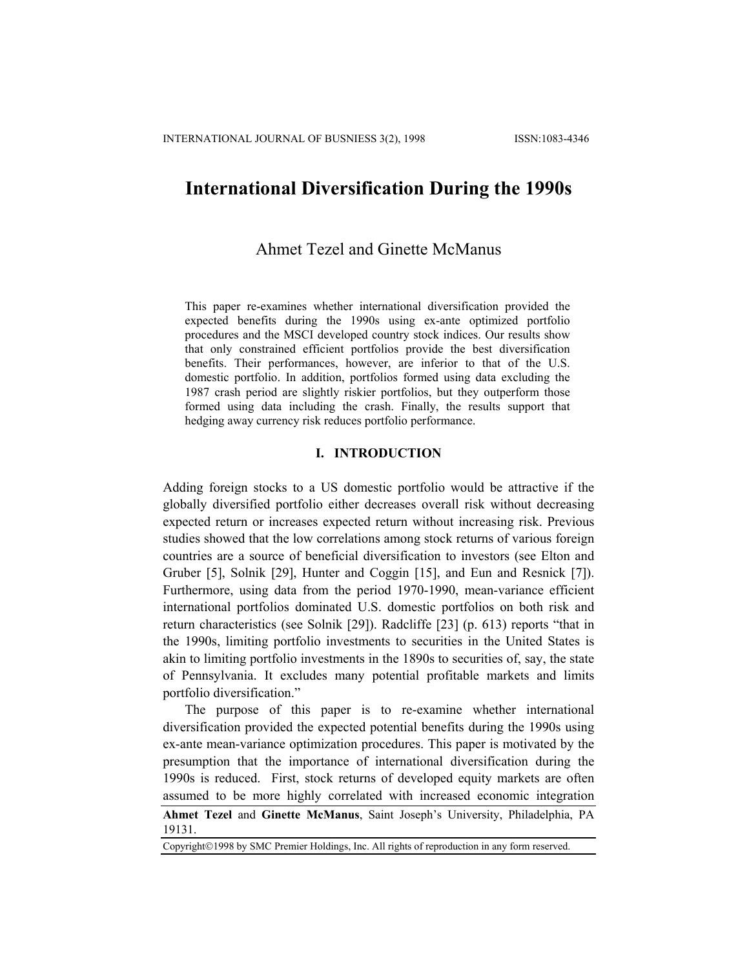# **International Diversification During the 1990s**

## Ahmet Tezel and Ginette McManus

This paper re-examines whether international diversification provided the expected benefits during the 1990s using ex-ante optimized portfolio procedures and the MSCI developed country stock indices. Our results show that only constrained efficient portfolios provide the best diversification benefits. Their performances, however, are inferior to that of the U.S. domestic portfolio. In addition, portfolios formed using data excluding the 1987 crash period are slightly riskier portfolios, but they outperform those formed using data including the crash. Finally, the results support that hedging away currency risk reduces portfolio performance.

## **I. INTRODUCTION**

Adding foreign stocks to a US domestic portfolio would be attractive if the globally diversified portfolio either decreases overall risk without decreasing expected return or increases expected return without increasing risk. Previous studies showed that the low correlations among stock returns of various foreign countries are a source of beneficial diversification to investors (see Elton and Gruber [5], Solnik [29], Hunter and Coggin [15], and Eun and Resnick [7]). Furthermore, using data from the period 1970-1990, mean-variance efficient international portfolios dominated U.S. domestic portfolios on both risk and return characteristics (see Solnik [29]). Radcliffe [23] (p. 613) reports "that in the 1990s, limiting portfolio investments to securities in the United States is akin to limiting portfolio investments in the 1890s to securities of, say, the state of Pennsylvania. It excludes many potential profitable markets and limits portfolio diversification."

The purpose of this paper is to re-examine whether international diversification provided the expected potential benefits during the 1990s using ex-ante mean-variance optimization procedures. This paper is motivated by the presumption that the importance of international diversification during the 1990s is reduced. First, stock returns of developed equity markets are often assumed to be more highly correlated with increased economic integration

**Ahmet Tezel** and **Ginette McManus**, Saint Joseph's University, Philadelphia, PA 19131.

Copyright©1998 by SMC Premier Holdings, Inc. All rights of reproduction in any form reserved.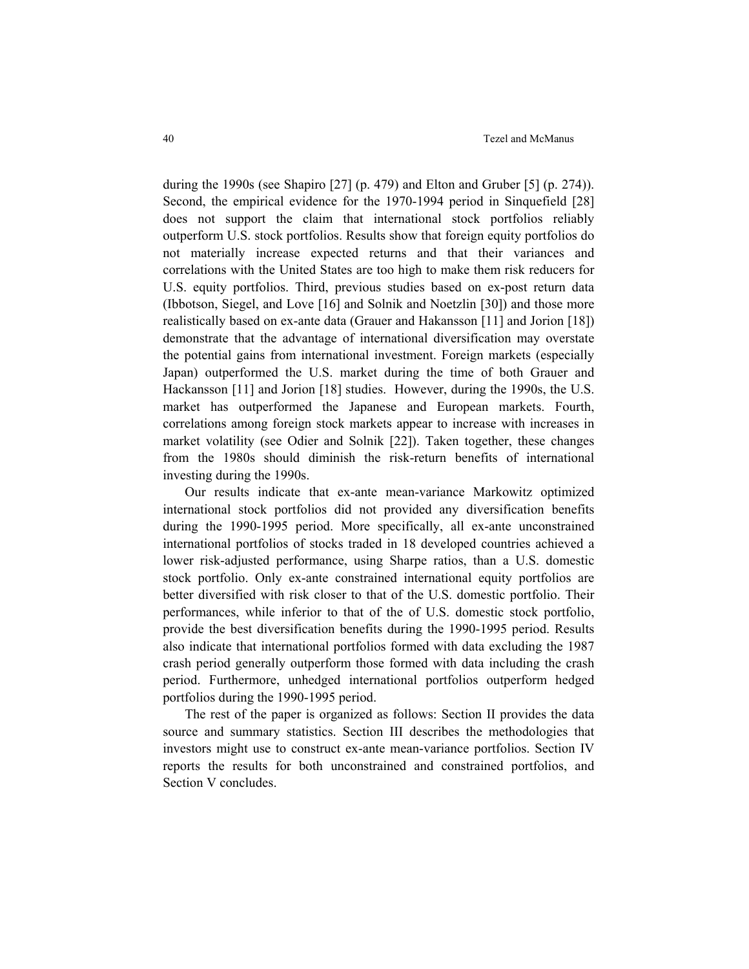during the 1990s (see Shapiro [27] (p. 479) and Elton and Gruber [5] (p. 274)). Second, the empirical evidence for the 1970-1994 period in Sinquefield [28] does not support the claim that international stock portfolios reliably outperform U.S. stock portfolios. Results show that foreign equity portfolios do not materially increase expected returns and that their variances and correlations with the United States are too high to make them risk reducers for U.S. equity portfolios. Third, previous studies based on ex-post return data (Ibbotson, Siegel, and Love [16] and Solnik and Noetzlin [30]) and those more realistically based on ex-ante data (Grauer and Hakansson [11] and Jorion [18]) demonstrate that the advantage of international diversification may overstate the potential gains from international investment. Foreign markets (especially Japan) outperformed the U.S. market during the time of both Grauer and Hackansson [11] and Jorion [18] studies. However, during the 1990s, the U.S. market has outperformed the Japanese and European markets. Fourth, correlations among foreign stock markets appear to increase with increases in market volatility (see Odier and Solnik [22]). Taken together, these changes from the 1980s should diminish the risk-return benefits of international investing during the 1990s.

Our results indicate that ex-ante mean-variance Markowitz optimized international stock portfolios did not provided any diversification benefits during the 1990-1995 period. More specifically, all ex-ante unconstrained international portfolios of stocks traded in 18 developed countries achieved a lower risk-adjusted performance, using Sharpe ratios, than a U.S. domestic stock portfolio. Only ex-ante constrained international equity portfolios are better diversified with risk closer to that of the U.S. domestic portfolio. Their performances, while inferior to that of the of U.S. domestic stock portfolio, provide the best diversification benefits during the 1990-1995 period. Results also indicate that international portfolios formed with data excluding the 1987 crash period generally outperform those formed with data including the crash period. Furthermore, unhedged international portfolios outperform hedged portfolios during the 1990-1995 period.

The rest of the paper is organized as follows: Section II provides the data source and summary statistics. Section III describes the methodologies that investors might use to construct ex-ante mean-variance portfolios. Section IV reports the results for both unconstrained and constrained portfolios, and Section V concludes.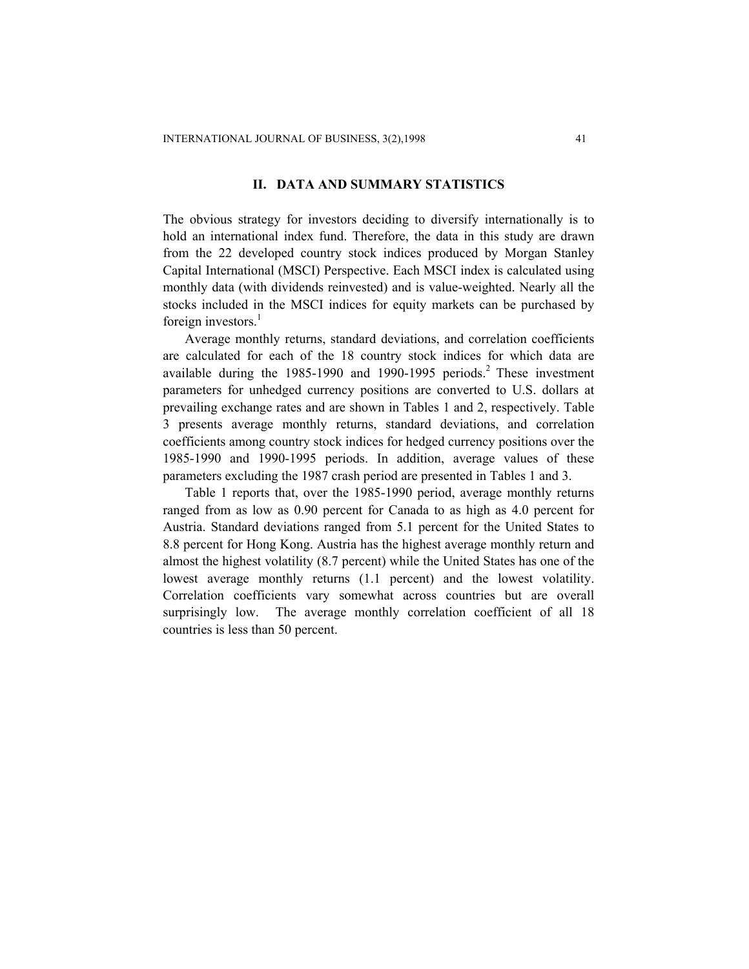#### **II. DATA AND SUMMARY STATISTICS**

The obvious strategy for investors deciding to diversify internationally is to hold an international index fund. Therefore, the data in this study are drawn from the 22 developed country stock indices produced by Morgan Stanley Capital International (MSCI) Perspective. Each MSCI index is calculated using monthly data (with dividends reinvested) and is value-weighted. Nearly all the stocks included in the MSCI indices for equity markets can be purchased by foreign investors. $<sup>1</sup>$ </sup>

Average monthly returns, standard deviations, and correlation coefficients are calculated for each of the 18 country stock indices for which data are available during the  $1985-1990$  and  $1990-1995$  periods.<sup>2</sup> These investment parameters for unhedged currency positions are converted to U.S. dollars at prevailing exchange rates and are shown in Tables 1 and 2, respectively. Table 3 presents average monthly returns, standard deviations, and correlation coefficients among country stock indices for hedged currency positions over the 1985-1990 and 1990-1995 periods. In addition, average values of these parameters excluding the 1987 crash period are presented in Tables 1 and 3.

Table 1 reports that, over the 1985-1990 period, average monthly returns ranged from as low as 0.90 percent for Canada to as high as 4.0 percent for Austria. Standard deviations ranged from 5.1 percent for the United States to 8.8 percent for Hong Kong. Austria has the highest average monthly return and almost the highest volatility (8.7 percent) while the United States has one of the lowest average monthly returns (1.1 percent) and the lowest volatility. Correlation coefficients vary somewhat across countries but are overall surprisingly low. The average monthly correlation coefficient of all 18 countries is less than 50 percent.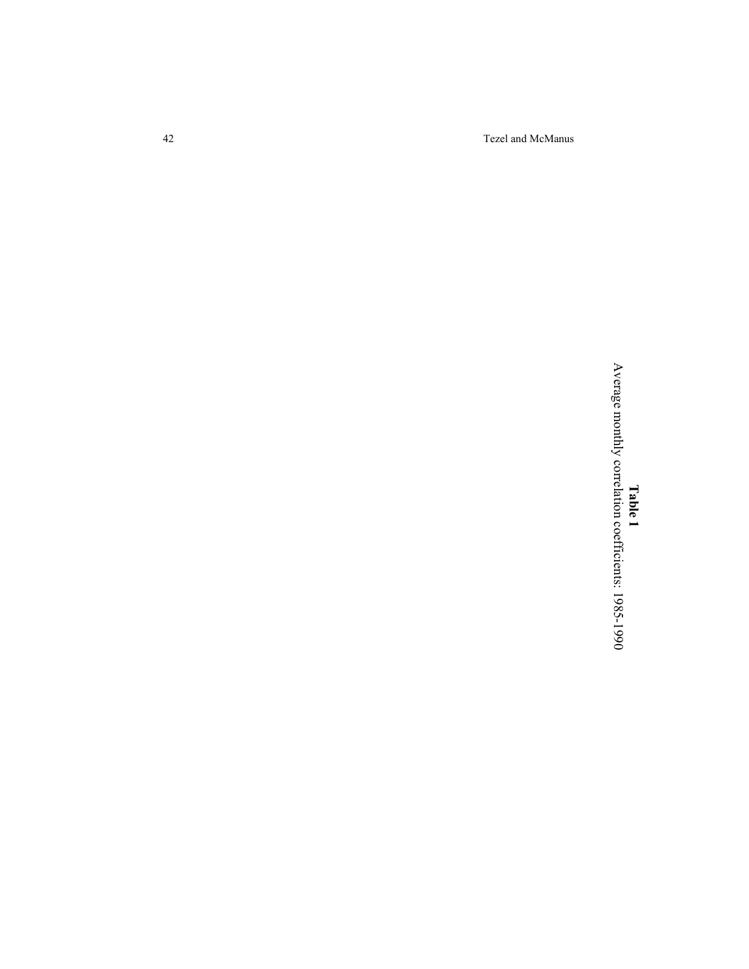42 Tezel and McManus

 $\blacktriangleright$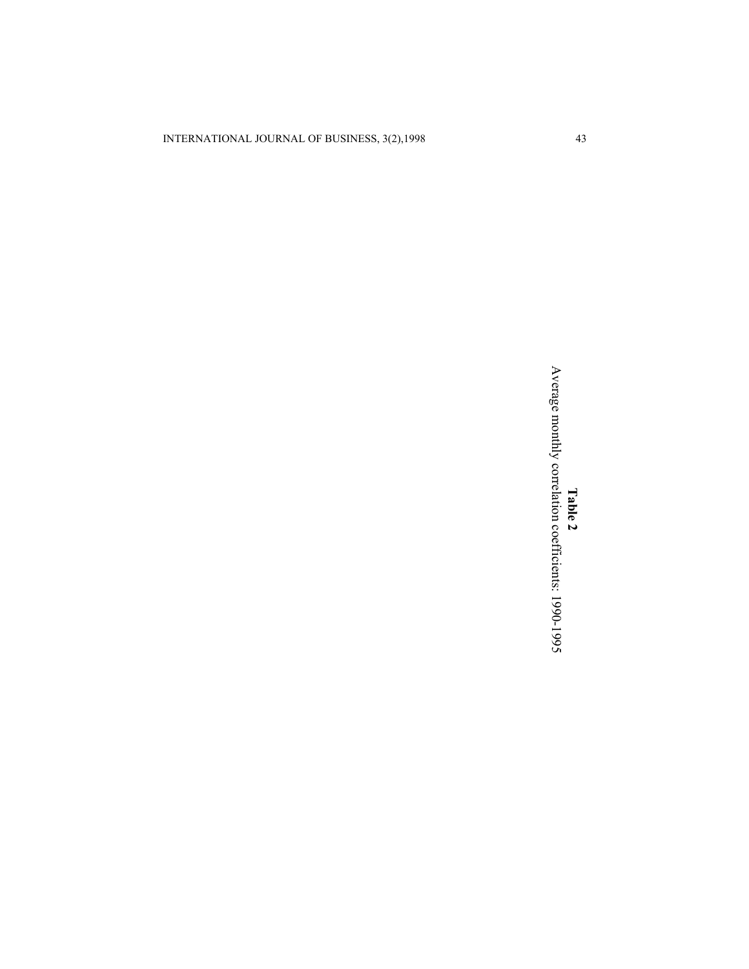INTERNATIONAL JOURNAL OF BUSINESS, 3(2),1998 43

**T a ble 2** verage monthly correlatio  $\overline{\phantom{0}}$ coefficients: 19 9 0-19 95

 $\blacktriangleright$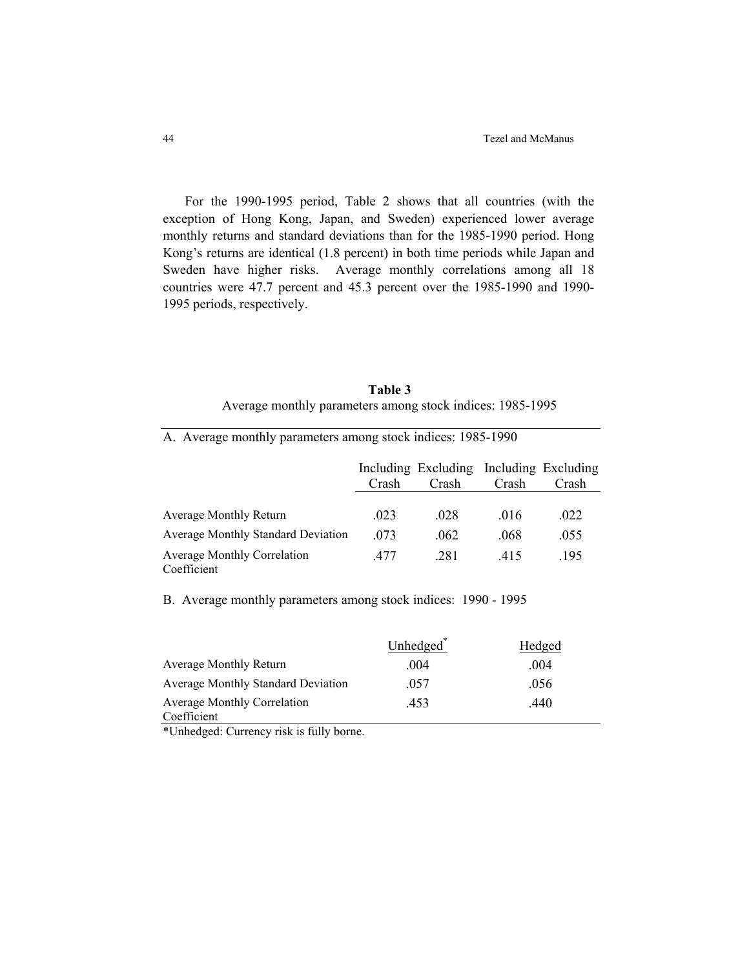For the 1990-1995 period, Table 2 shows that all countries (with the exception of Hong Kong, Japan, and Sweden) experienced lower average monthly returns and standard deviations than for the 1985-1990 period. Hong Kong's returns are identical (1.8 percent) in both time periods while Japan and Sweden have higher risks. Average monthly correlations among all 18 countries were 47.7 percent and 45.3 percent over the 1985-1990 and 1990- 1995 periods, respectively.

| Table 3                                                   |  |
|-----------------------------------------------------------|--|
| Average monthly parameters among stock indices: 1985-1995 |  |

|                                                   | Crash | Including Excluding Including Excluding<br>Crash | Crash | Crash |
|---------------------------------------------------|-------|--------------------------------------------------|-------|-------|
| Average Monthly Return                            | .023  | .028                                             | .016  | .022  |
| <b>Average Monthly Standard Deviation</b>         | .073  | .062                                             | .068  | .055  |
| <b>Average Monthly Correlation</b><br>Coefficient | 477   | .281                                             | 415   | .195  |

B. Average monthly parameters among stock indices: 1990 - 1995

A. Average monthly parameters among stock indices: 1985-1990

|                                           | Unhedged <sup>*</sup> | Hedged |
|-------------------------------------------|-----------------------|--------|
| <b>Average Monthly Return</b>             | -004                  | 004    |
| <b>Average Monthly Standard Deviation</b> | 057                   | .056   |
| <b>Average Monthly Correlation</b>        | 453                   | .440   |
| Coefficient                               |                       |        |

\*Unhedged: Currency risk is fully borne.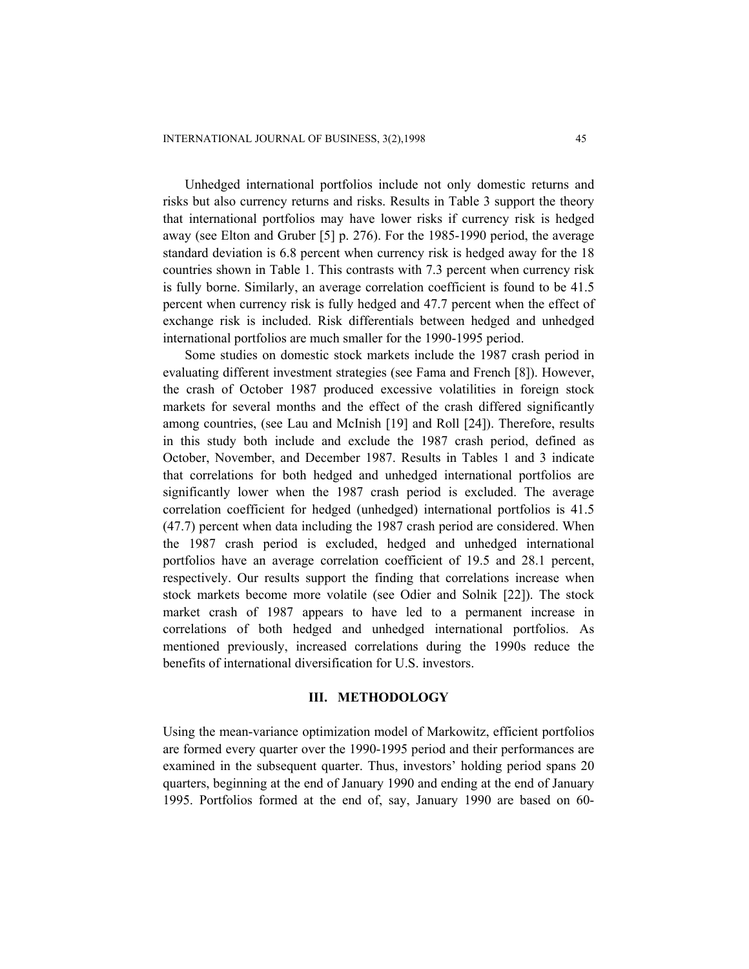Unhedged international portfolios include not only domestic returns and risks but also currency returns and risks. Results in Table 3 support the theory that international portfolios may have lower risks if currency risk is hedged away (see Elton and Gruber [5] p. 276). For the 1985-1990 period, the average standard deviation is 6.8 percent when currency risk is hedged away for the 18 countries shown in Table 1. This contrasts with 7.3 percent when currency risk is fully borne. Similarly, an average correlation coefficient is found to be 41.5 percent when currency risk is fully hedged and 47.7 percent when the effect of exchange risk is included. Risk differentials between hedged and unhedged international portfolios are much smaller for the 1990-1995 period.

Some studies on domestic stock markets include the 1987 crash period in evaluating different investment strategies (see Fama and French [8]). However, the crash of October 1987 produced excessive volatilities in foreign stock markets for several months and the effect of the crash differed significantly among countries, (see Lau and McInish [19] and Roll [24]). Therefore, results in this study both include and exclude the 1987 crash period, defined as October, November, and December 1987. Results in Tables 1 and 3 indicate that correlations for both hedged and unhedged international portfolios are significantly lower when the 1987 crash period is excluded. The average correlation coefficient for hedged (unhedged) international portfolios is 41.5 (47.7) percent when data including the 1987 crash period are considered. When the 1987 crash period is excluded, hedged and unhedged international portfolios have an average correlation coefficient of 19.5 and 28.1 percent, respectively. Our results support the finding that correlations increase when stock markets become more volatile (see Odier and Solnik [22]). The stock market crash of 1987 appears to have led to a permanent increase in correlations of both hedged and unhedged international portfolios. As mentioned previously, increased correlations during the 1990s reduce the benefits of international diversification for U.S. investors.

#### **III. METHODOLOGY**

Using the mean-variance optimization model of Markowitz, efficient portfolios are formed every quarter over the 1990-1995 period and their performances are examined in the subsequent quarter. Thus, investors' holding period spans 20 quarters, beginning at the end of January 1990 and ending at the end of January 1995. Portfolios formed at the end of, say, January 1990 are based on 60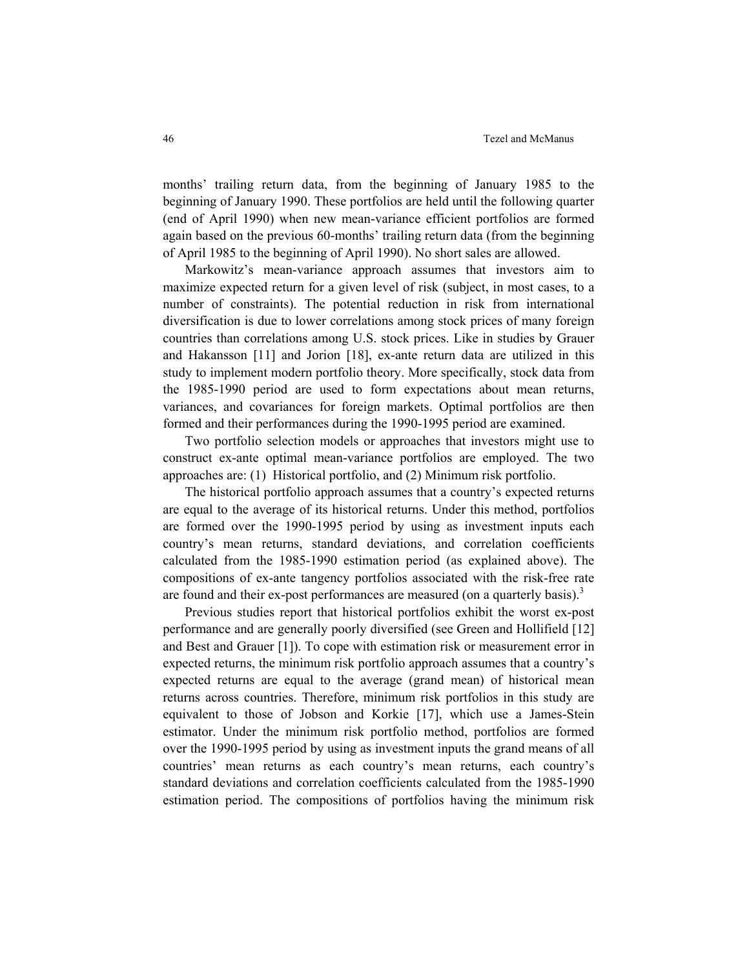months' trailing return data, from the beginning of January 1985 to the beginning of January 1990. These portfolios are held until the following quarter (end of April 1990) when new mean-variance efficient portfolios are formed again based on the previous 60-months' trailing return data (from the beginning of April 1985 to the beginning of April 1990). No short sales are allowed.

Markowitz's mean-variance approach assumes that investors aim to maximize expected return for a given level of risk (subject, in most cases, to a number of constraints). The potential reduction in risk from international diversification is due to lower correlations among stock prices of many foreign countries than correlations among U.S. stock prices. Like in studies by Grauer and Hakansson [11] and Jorion [18], ex-ante return data are utilized in this study to implement modern portfolio theory. More specifically, stock data from the 1985-1990 period are used to form expectations about mean returns, variances, and covariances for foreign markets. Optimal portfolios are then formed and their performances during the 1990-1995 period are examined.

Two portfolio selection models or approaches that investors might use to construct ex-ante optimal mean-variance portfolios are employed. The two approaches are: (1) Historical portfolio, and (2) Minimum risk portfolio.

The historical portfolio approach assumes that a country's expected returns are equal to the average of its historical returns. Under this method, portfolios are formed over the 1990-1995 period by using as investment inputs each country's mean returns, standard deviations, and correlation coefficients calculated from the 1985-1990 estimation period (as explained above). The compositions of ex-ante tangency portfolios associated with the risk-free rate are found and their ex-post performances are measured (on a quarterly basis).<sup>3</sup>

Previous studies report that historical portfolios exhibit the worst ex-post performance and are generally poorly diversified (see Green and Hollifield [12] and Best and Grauer [1]). To cope with estimation risk or measurement error in expected returns, the minimum risk portfolio approach assumes that a country's expected returns are equal to the average (grand mean) of historical mean returns across countries. Therefore, minimum risk portfolios in this study are equivalent to those of Jobson and Korkie [17], which use a James-Stein estimator. Under the minimum risk portfolio method, portfolios are formed over the 1990-1995 period by using as investment inputs the grand means of all countries' mean returns as each country's mean returns, each country's standard deviations and correlation coefficients calculated from the 1985-1990 estimation period. The compositions of portfolios having the minimum risk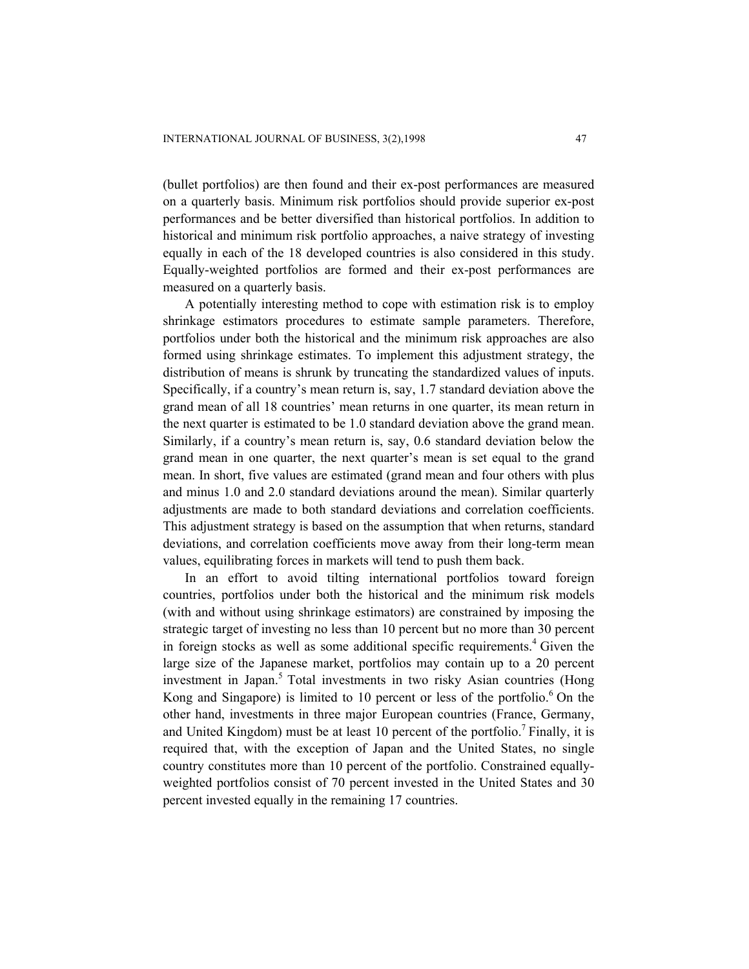(bullet portfolios) are then found and their ex-post performances are measured on a quarterly basis. Minimum risk portfolios should provide superior ex-post performances and be better diversified than historical portfolios. In addition to historical and minimum risk portfolio approaches, a naive strategy of investing equally in each of the 18 developed countries is also considered in this study. Equally-weighted portfolios are formed and their ex-post performances are measured on a quarterly basis.

A potentially interesting method to cope with estimation risk is to employ shrinkage estimators procedures to estimate sample parameters. Therefore, portfolios under both the historical and the minimum risk approaches are also formed using shrinkage estimates. To implement this adjustment strategy, the distribution of means is shrunk by truncating the standardized values of inputs. Specifically, if a country's mean return is, say, 1.7 standard deviation above the grand mean of all 18 countries' mean returns in one quarter, its mean return in the next quarter is estimated to be 1.0 standard deviation above the grand mean. Similarly, if a country's mean return is, say, 0.6 standard deviation below the grand mean in one quarter, the next quarter's mean is set equal to the grand mean. In short, five values are estimated (grand mean and four others with plus and minus 1.0 and 2.0 standard deviations around the mean). Similar quarterly adjustments are made to both standard deviations and correlation coefficients. This adjustment strategy is based on the assumption that when returns, standard deviations, and correlation coefficients move away from their long-term mean values, equilibrating forces in markets will tend to push them back.

In an effort to avoid tilting international portfolios toward foreign countries, portfolios under both the historical and the minimum risk models (with and without using shrinkage estimators) are constrained by imposing the strategic target of investing no less than 10 percent but no more than 30 percent in foreign stocks as well as some additional specific requirements.<sup>4</sup> Given the large size of the Japanese market, portfolios may contain up to a 20 percent investment in Japan.<sup>5</sup> Total investments in two risky Asian countries (Hong Kong and Singapore) is limited to 10 percent or less of the portfolio.<sup>6</sup> On the other hand, investments in three major European countries (France, Germany, and United Kingdom) must be at least 10 percent of the portfolio.<sup>7</sup> Finally, it is required that, with the exception of Japan and the United States, no single country constitutes more than 10 percent of the portfolio. Constrained equallyweighted portfolios consist of 70 percent invested in the United States and 30 percent invested equally in the remaining 17 countries.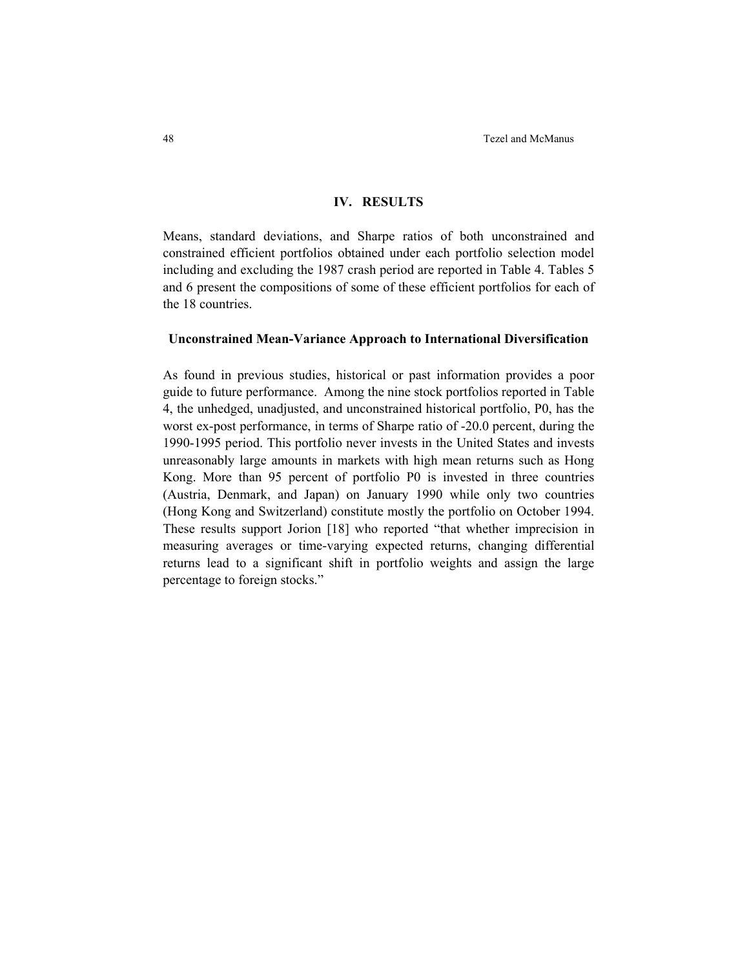## **IV. RESULTS**

Means, standard deviations, and Sharpe ratios of both unconstrained and constrained efficient portfolios obtained under each portfolio selection model including and excluding the 1987 crash period are reported in Table 4. Tables 5 and 6 present the compositions of some of these efficient portfolios for each of the 18 countries.

#### **Unconstrained Mean-Variance Approach to International Diversification**

As found in previous studies, historical or past information provides a poor guide to future performance. Among the nine stock portfolios reported in Table 4, the unhedged, unadjusted, and unconstrained historical portfolio, P0, has the worst ex-post performance, in terms of Sharpe ratio of -20.0 percent, during the 1990-1995 period. This portfolio never invests in the United States and invests unreasonably large amounts in markets with high mean returns such as Hong Kong. More than 95 percent of portfolio P0 is invested in three countries (Austria, Denmark, and Japan) on January 1990 while only two countries (Hong Kong and Switzerland) constitute mostly the portfolio on October 1994. These results support Jorion [18] who reported "that whether imprecision in measuring averages or time-varying expected returns, changing differential returns lead to a significant shift in portfolio weights and assign the large percentage to foreign stocks."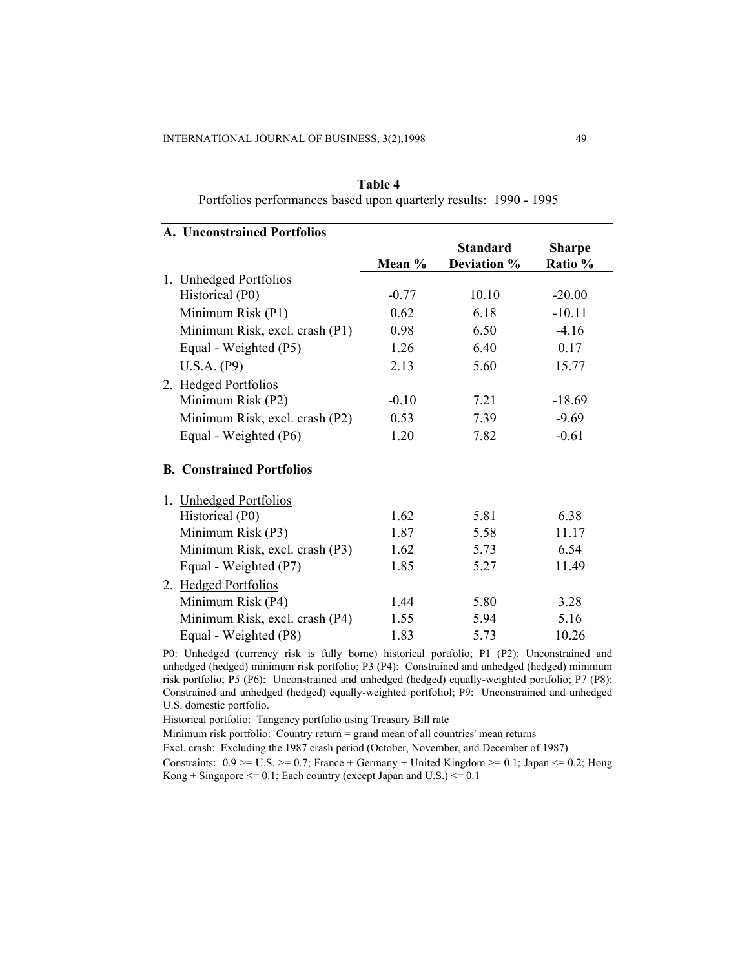| Table 4                                                           |  |
|-------------------------------------------------------------------|--|
| Portfolios performances based upon quarterly results: 1990 - 1995 |  |

| A. Unconstrained Portfolios      |         |                 |               |  |
|----------------------------------|---------|-----------------|---------------|--|
|                                  |         | <b>Standard</b> | <b>Sharpe</b> |  |
|                                  | Mean %  | Deviation %     | Ratio %       |  |
| 1. Unhedged Portfolios           |         |                 |               |  |
| Historical (P0)                  | $-0.77$ | 10.10           | $-20.00$      |  |
| Minimum Risk (P1)                | 0.62    | 6.18            | $-10.11$      |  |
| Minimum Risk, excl. crash (P1)   | 0.98    | 6.50            | $-4.16$       |  |
| Equal - Weighted (P5)            | 1.26    | 6.40            | 0.17          |  |
| U.S.A. (P9)                      | 2.13    | 5.60            | 15.77         |  |
| 2. Hedged Portfolios             |         |                 |               |  |
| Minimum Risk (P2)                | $-0.10$ | 7.21            | $-18.69$      |  |
| Minimum Risk, excl. crash (P2)   | 0.53    | 7.39            | $-9.69$       |  |
| Equal - Weighted (P6)            | 1.20    | 7.82            | $-0.61$       |  |
| <b>B. Constrained Portfolios</b> |         |                 |               |  |
| 1. Unhedged Portfolios           |         |                 |               |  |
| Historical (P0)                  | 1.62    | 5.81            | 6.38          |  |
| Minimum Risk (P3)                | 1.87    | 5.58            | 11.17         |  |
| Minimum Risk, excl. crash (P3)   | 1.62    | 5.73            | 6.54          |  |
| Equal - Weighted (P7)            | 1.85    | 5.27            | 11.49         |  |
| 2. Hedged Portfolios             |         |                 |               |  |
| Minimum Risk (P4)                | 1.44    | 5.80            | 3.28          |  |
| Minimum Risk, excl. crash (P4)   | 1.55    | 5.94            | 5.16          |  |
| Equal - Weighted (P8)            | 1.83    | 5.73            | 10.26         |  |

P0: Unhedged (currency risk is fully borne) historical portfolio; P1 (P2): Unconstrained and unhedged (hedged) minimum risk portfolio; P3 (P4): Constrained and unhedged (hedged) minimum risk portfolio; P5 (P6): Unconstrained and unhedged (hedged) equally-weighted portfolio; P7 (P8): Constrained and unhedged (hedged) equally-weighted portfoliol; P9: Unconstrained and unhedged U.S. domestic portfolio.

Historical portfolio: Tangency portfolio using Treasury Bill rate

Minimum risk portfolio: Country return = grand mean of all countries' mean returns

Excl. crash: Excluding the 1987 crash period (October, November, and December of 1987)

Constraints:  $0.9 \ge U.S. \ge 0.7$ ; France + Germany + United Kingdom  $\ge 0.1$ ; Japan  $\le 0.2$ ; Hong Kong + Singapore  $\le$  = 0.1; Each country (except Japan and U.S.)  $\le$  = 0.1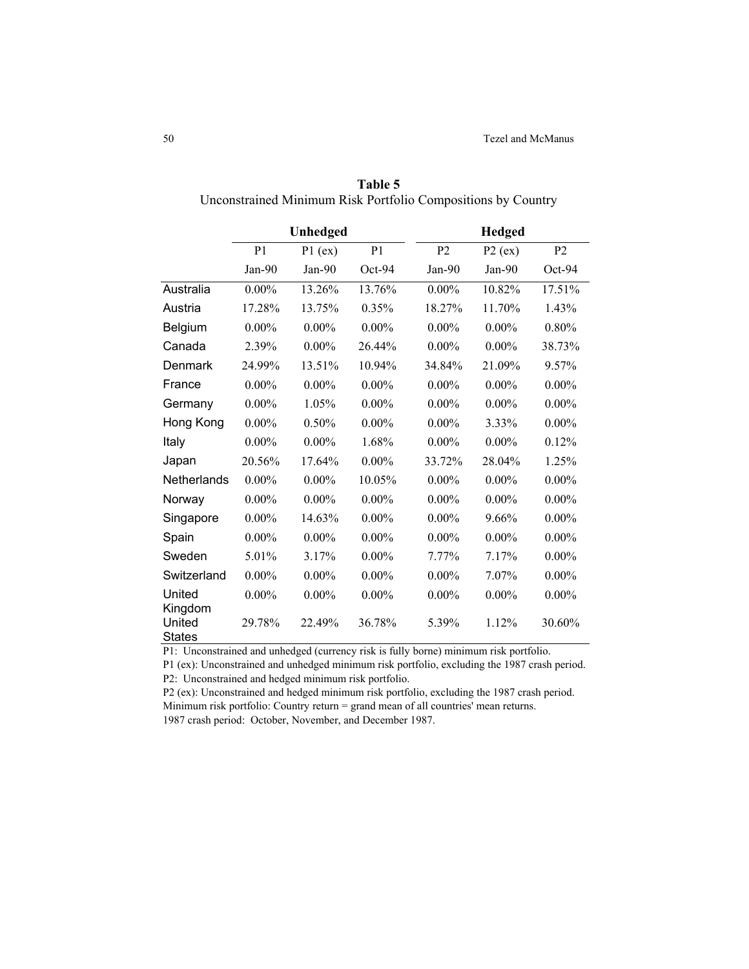|                    | Unhedged       |           |                | <b>Hedged</b>  |           |                |
|--------------------|----------------|-----------|----------------|----------------|-----------|----------------|
|                    | P <sub>1</sub> | $P1$ (ex) | P <sub>1</sub> | P <sub>2</sub> | $P2$ (ex) | P <sub>2</sub> |
|                    | $Jan-90$       | Jan-90    | $Oct-94$       | $Jan-90$       | $Jan-90$  | $Oct-94$       |
| Australia          | $0.00\%$       | 13.26%    | 13.76%         | $0.00\%$       | 10.82%    | 17.51%         |
| Austria            | 17.28%         | 13.75%    | 0.35%          | 18.27%         | 11.70%    | 1.43%          |
| Belgium            | $0.00\%$       | $0.00\%$  | $0.00\%$       | $0.00\%$       | $0.00\%$  | 0.80%          |
| Canada             | 2.39%          | $0.00\%$  | 26.44%         | $0.00\%$       | $0.00\%$  | 38.73%         |
| Denmark            | 24.99%         | 13.51%    | 10.94%         | 34.84%         | 21.09%    | 9.57%          |
| France             | $0.00\%$       | $0.00\%$  | $0.00\%$       | $0.00\%$       | $0.00\%$  | $0.00\%$       |
| Germany            | $0.00\%$       | 1.05%     | $0.00\%$       | $0.00\%$       | $0.00\%$  | $0.00\%$       |
| Hong Kong          | $0.00\%$       | 0.50%     | $0.00\%$       | $0.00\%$       | 3.33%     | $0.00\%$       |
| Italy              | $0.00\%$       | $0.00\%$  | 1.68%          | $0.00\%$       | $0.00\%$  | 0.12%          |
| Japan              | 20.56%         | 17.64%    | $0.00\%$       | 33.72%         | 28.04%    | 1.25%          |
| <b>Netherlands</b> | $0.00\%$       | $0.00\%$  | 10.05%         | $0.00\%$       | $0.00\%$  | $0.00\%$       |
| Norway             | $0.00\%$       | $0.00\%$  | $0.00\%$       | $0.00\%$       | $0.00\%$  | $0.00\%$       |
| Singapore          | $0.00\%$       | 14.63%    | $0.00\%$       | $0.00\%$       | 9.66%     | $0.00\%$       |
| Spain              | $0.00\%$       | $0.00\%$  | $0.00\%$       | $0.00\%$       | $0.00\%$  | $0.00\%$       |
| Sweden             | 5.01%          | 3.17%     | $0.00\%$       | 7.77%          | 7.17%     | $0.00\%$       |
| Switzerland        | $0.00\%$       | $0.00\%$  | $0.00\%$       | $0.00\%$       | 7.07%     | $0.00\%$       |
| United<br>Kingdom  | $0.00\%$       | $0.00\%$  | $0.00\%$       | $0.00\%$       | $0.00\%$  | $0.00\%$       |
| United<br>States   | 29.78%         | 22.49%    | 36.78%         | 5.39%          | 1.12%     | 30.60%         |

**Table 5**  Unconstrained Minimum Risk Portfolio Compositions by Country

P1: Unconstrained and unhedged (currency risk is fully borne) minimum risk portfolio.

P1 (ex): Unconstrained and unhedged minimum risk portfolio, excluding the 1987 crash period. P2: Unconstrained and hedged minimum risk portfolio.

P2 (ex): Unconstrained and hedged minimum risk portfolio, excluding the 1987 crash period. Minimum risk portfolio: Country return = grand mean of all countries' mean returns. 1987 crash period: October, November, and December 1987.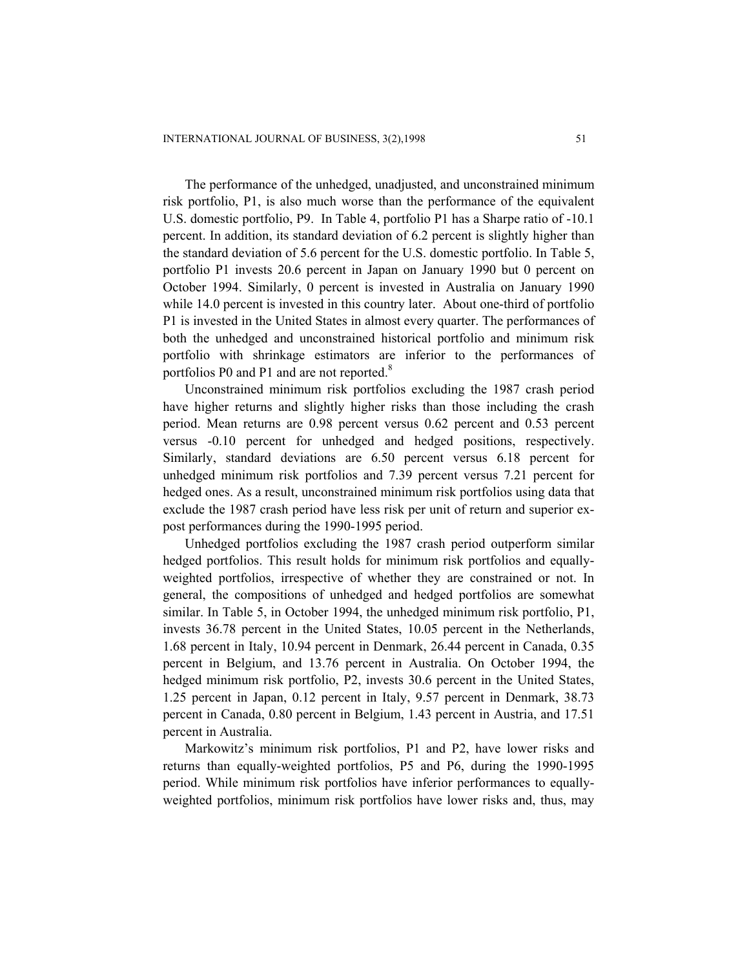The performance of the unhedged, unadjusted, and unconstrained minimum risk portfolio, P1, is also much worse than the performance of the equivalent U.S. domestic portfolio, P9. In Table 4, portfolio P1 has a Sharpe ratio of -10.1 percent. In addition, its standard deviation of 6.2 percent is slightly higher than the standard deviation of 5.6 percent for the U.S. domestic portfolio. In Table 5, portfolio P1 invests 20.6 percent in Japan on January 1990 but 0 percent on October 1994. Similarly, 0 percent is invested in Australia on January 1990 while 14.0 percent is invested in this country later. About one-third of portfolio P1 is invested in the United States in almost every quarter. The performances of both the unhedged and unconstrained historical portfolio and minimum risk portfolio with shrinkage estimators are inferior to the performances of portfolios P0 and P1 and are not reported.<sup>8</sup>

Unconstrained minimum risk portfolios excluding the 1987 crash period have higher returns and slightly higher risks than those including the crash period. Mean returns are 0.98 percent versus 0.62 percent and 0.53 percent versus -0.10 percent for unhedged and hedged positions, respectively. Similarly, standard deviations are 6.50 percent versus 6.18 percent for unhedged minimum risk portfolios and 7.39 percent versus 7.21 percent for hedged ones. As a result, unconstrained minimum risk portfolios using data that exclude the 1987 crash period have less risk per unit of return and superior expost performances during the 1990-1995 period.

Unhedged portfolios excluding the 1987 crash period outperform similar hedged portfolios. This result holds for minimum risk portfolios and equallyweighted portfolios, irrespective of whether they are constrained or not. In general, the compositions of unhedged and hedged portfolios are somewhat similar. In Table 5, in October 1994, the unhedged minimum risk portfolio, P1, invests 36.78 percent in the United States, 10.05 percent in the Netherlands, 1.68 percent in Italy, 10.94 percent in Denmark, 26.44 percent in Canada, 0.35 percent in Belgium, and 13.76 percent in Australia. On October 1994, the hedged minimum risk portfolio, P2, invests 30.6 percent in the United States, 1.25 percent in Japan, 0.12 percent in Italy, 9.57 percent in Denmark, 38.73 percent in Canada, 0.80 percent in Belgium, 1.43 percent in Austria, and 17.51 percent in Australia.

Markowitz's minimum risk portfolios, P1 and P2, have lower risks and returns than equally-weighted portfolios, P5 and P6, during the 1990-1995 period. While minimum risk portfolios have inferior performances to equallyweighted portfolios, minimum risk portfolios have lower risks and, thus, may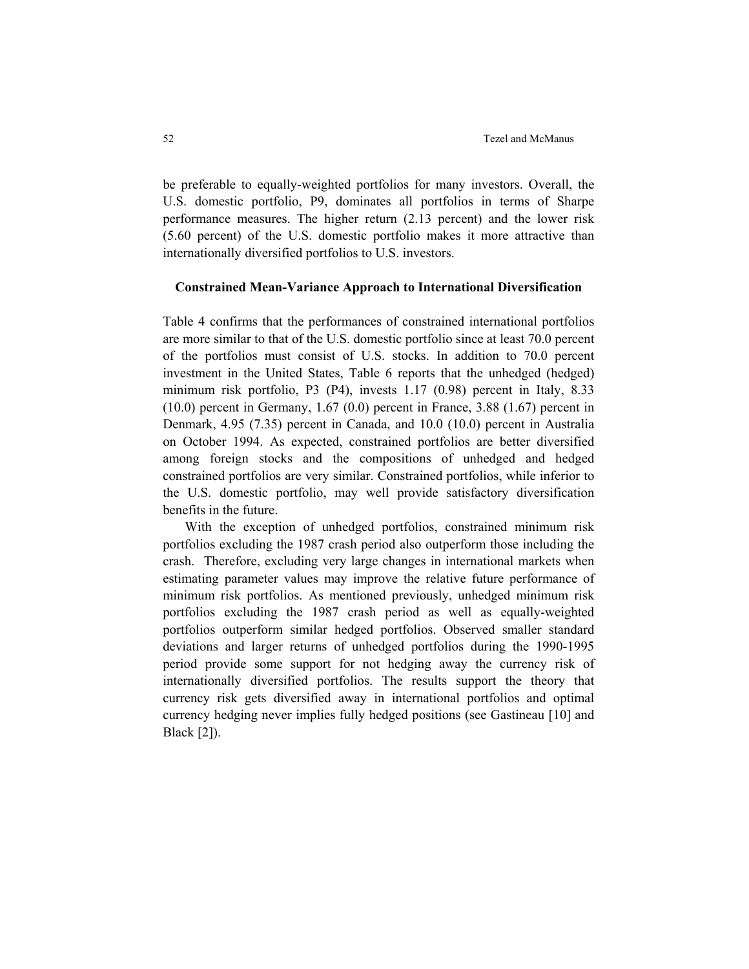be preferable to equally-weighted portfolios for many investors. Overall, the U.S. domestic portfolio, P9, dominates all portfolios in terms of Sharpe performance measures. The higher return (2.13 percent) and the lower risk (5.60 percent) of the U.S. domestic portfolio makes it more attractive than internationally diversified portfolios to U.S. investors.

#### **Constrained Mean-Variance Approach to International Diversification**

Table 4 confirms that the performances of constrained international portfolios are more similar to that of the U.S. domestic portfolio since at least 70.0 percent of the portfolios must consist of U.S. stocks. In addition to 70.0 percent investment in the United States, Table 6 reports that the unhedged (hedged) minimum risk portfolio, P3 (P4), invests 1.17 (0.98) percent in Italy, 8.33 (10.0) percent in Germany, 1.67 (0.0) percent in France, 3.88 (1.67) percent in Denmark, 4.95 (7.35) percent in Canada, and 10.0 (10.0) percent in Australia on October 1994. As expected, constrained portfolios are better diversified among foreign stocks and the compositions of unhedged and hedged constrained portfolios are very similar. Constrained portfolios, while inferior to the U.S. domestic portfolio, may well provide satisfactory diversification benefits in the future.

With the exception of unhedged portfolios, constrained minimum risk portfolios excluding the 1987 crash period also outperform those including the crash. Therefore, excluding very large changes in international markets when estimating parameter values may improve the relative future performance of minimum risk portfolios. As mentioned previously, unhedged minimum risk portfolios excluding the 1987 crash period as well as equally-weighted portfolios outperform similar hedged portfolios. Observed smaller standard deviations and larger returns of unhedged portfolios during the 1990-1995 period provide some support for not hedging away the currency risk of internationally diversified portfolios. The results support the theory that currency risk gets diversified away in international portfolios and optimal currency hedging never implies fully hedged positions (see Gastineau [10] and Black [2]).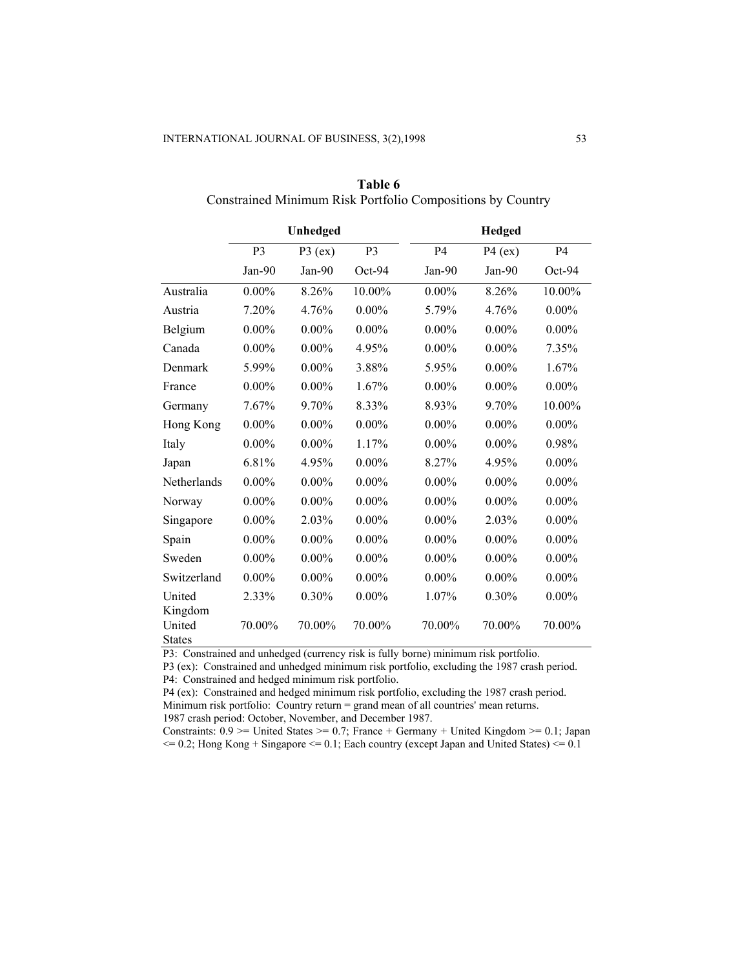|                                    | Unhedged       |           | <b>Hedged</b>  |                |           |           |
|------------------------------------|----------------|-----------|----------------|----------------|-----------|-----------|
|                                    | P <sub>3</sub> | $P3$ (ex) | P <sub>3</sub> | P <sub>4</sub> | $P4$ (ex) | <b>P4</b> |
|                                    | Jan-90         | Jan-90    | $Oct-94$       | Jan-90         | $Jan-90$  | $Oct-94$  |
| Australia                          | $0.00\%$       | 8.26%     | 10.00%         | $0.00\%$       | 8.26%     | 10.00%    |
| Austria                            | 7.20%          | 4.76%     | $0.00\%$       | 5.79%          | 4.76%     | $0.00\%$  |
| Belgium                            | $0.00\%$       | $0.00\%$  | $0.00\%$       | $0.00\%$       | $0.00\%$  | $0.00\%$  |
| Canada                             | $0.00\%$       | $0.00\%$  | 4.95%          | $0.00\%$       | $0.00\%$  | 7.35%     |
| Denmark                            | 5.99%          | $0.00\%$  | 3.88%          | 5.95%          | $0.00\%$  | 1.67%     |
| France                             | $0.00\%$       | $0.00\%$  | 1.67%          | $0.00\%$       | $0.00\%$  | $0.00\%$  |
| Germany                            | 7.67%          | 9.70%     | 8.33%          | 8.93%          | 9.70%     | 10.00%    |
| Hong Kong                          | $0.00\%$       | $0.00\%$  | $0.00\%$       | $0.00\%$       | $0.00\%$  | $0.00\%$  |
| Italy                              | $0.00\%$       | $0.00\%$  | 1.17%          | $0.00\%$       | $0.00\%$  | 0.98%     |
| Japan                              | 6.81%          | 4.95%     | $0.00\%$       | 8.27%          | 4.95%     | $0.00\%$  |
| Netherlands                        | $0.00\%$       | $0.00\%$  | $0.00\%$       | $0.00\%$       | $0.00\%$  | $0.00\%$  |
| Norway                             | $0.00\%$       | $0.00\%$  | $0.00\%$       | $0.00\%$       | $0.00\%$  | $0.00\%$  |
| Singapore                          | $0.00\%$       | 2.03%     | $0.00\%$       | $0.00\%$       | 2.03%     | $0.00\%$  |
| Spain                              | $0.00\%$       | $0.00\%$  | $0.00\%$       | $0.00\%$       | $0.00\%$  | $0.00\%$  |
| Sweden                             | $0.00\%$       | $0.00\%$  | $0.00\%$       | $0.00\%$       | $0.00\%$  | $0.00\%$  |
| Switzerland                        | $0.00\%$       | $0.00\%$  | $0.00\%$       | $0.00\%$       | $0.00\%$  | $0.00\%$  |
| United                             | 2.33%          | $0.30\%$  | $0.00\%$       | 1.07%          | $0.30\%$  | $0.00\%$  |
| Kingdom<br>United<br><b>States</b> | 70.00%         | 70.00%    | 70.00%         | 70.00%         | 70.00%    | 70.00%    |

**Table 6**  Constrained Minimum Risk Portfolio Compositions by Country

P3: Constrained and unhedged (currency risk is fully borne) minimum risk portfolio.

P3 (ex): Constrained and unhedged minimum risk portfolio, excluding the 1987 crash period. P4: Constrained and hedged minimum risk portfolio.

P4 (ex): Constrained and hedged minimum risk portfolio, excluding the 1987 crash period. Minimum risk portfolio: Country return = grand mean of all countries' mean returns. 1987 crash period: October, November, and December 1987.

Constraints:  $0.9$  >= United States >= 0.7; France + Germany + United Kingdom >= 0.1; Japan  $\epsilon$  = 0.2; Hong Kong + Singapore  $\epsilon$  = 0.1; Each country (except Japan and United States)  $\epsilon$  = 0.1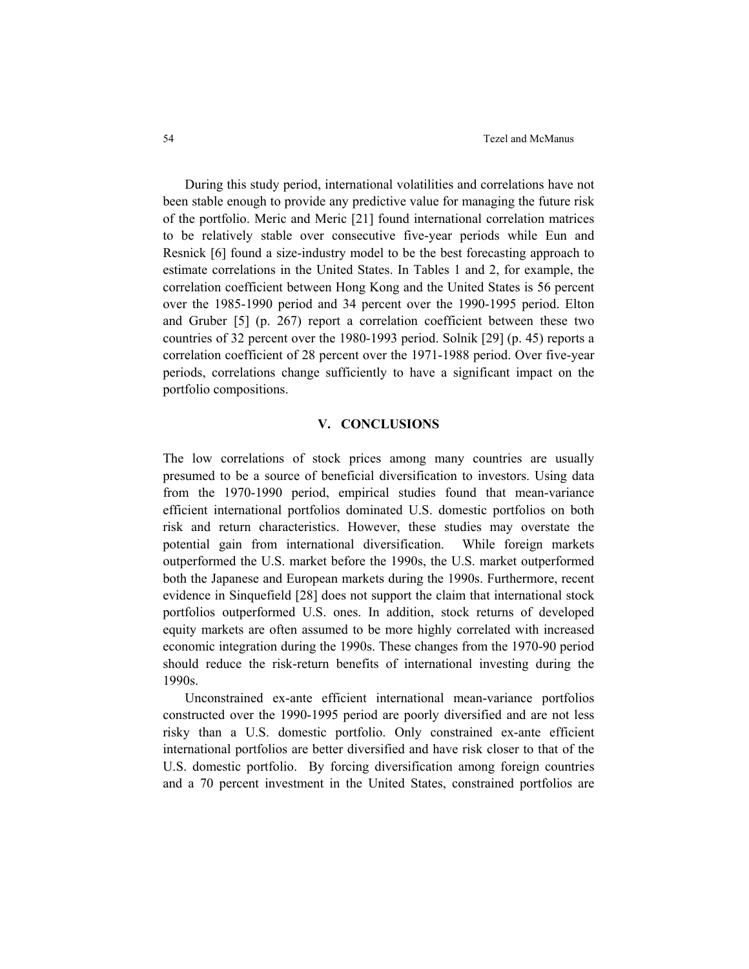During this study period, international volatilities and correlations have not been stable enough to provide any predictive value for managing the future risk of the portfolio. Meric and Meric [21] found international correlation matrices to be relatively stable over consecutive five-year periods while Eun and Resnick [6] found a size-industry model to be the best forecasting approach to estimate correlations in the United States. In Tables 1 and 2, for example, the correlation coefficient between Hong Kong and the United States is 56 percent over the 1985-1990 period and 34 percent over the 1990-1995 period. Elton and Gruber [5] (p. 267) report a correlation coefficient between these two countries of 32 percent over the 1980-1993 period. Solnik [29] (p. 45) reports a correlation coefficient of 28 percent over the 1971-1988 period. Over five-year periods, correlations change sufficiently to have a significant impact on the portfolio compositions.

#### **V. CONCLUSIONS**

The low correlations of stock prices among many countries are usually presumed to be a source of beneficial diversification to investors. Using data from the 1970-1990 period, empirical studies found that mean-variance efficient international portfolios dominated U.S. domestic portfolios on both risk and return characteristics. However, these studies may overstate the potential gain from international diversification. While foreign markets outperformed the U.S. market before the 1990s, the U.S. market outperformed both the Japanese and European markets during the 1990s. Furthermore, recent evidence in Sinquefield [28] does not support the claim that international stock portfolios outperformed U.S. ones. In addition, stock returns of developed equity markets are often assumed to be more highly correlated with increased economic integration during the 1990s. These changes from the 1970-90 period should reduce the risk-return benefits of international investing during the 1990s.

Unconstrained ex-ante efficient international mean-variance portfolios constructed over the 1990-1995 period are poorly diversified and are not less risky than a U.S. domestic portfolio. Only constrained ex-ante efficient international portfolios are better diversified and have risk closer to that of the U.S. domestic portfolio. By forcing diversification among foreign countries and a 70 percent investment in the United States, constrained portfolios are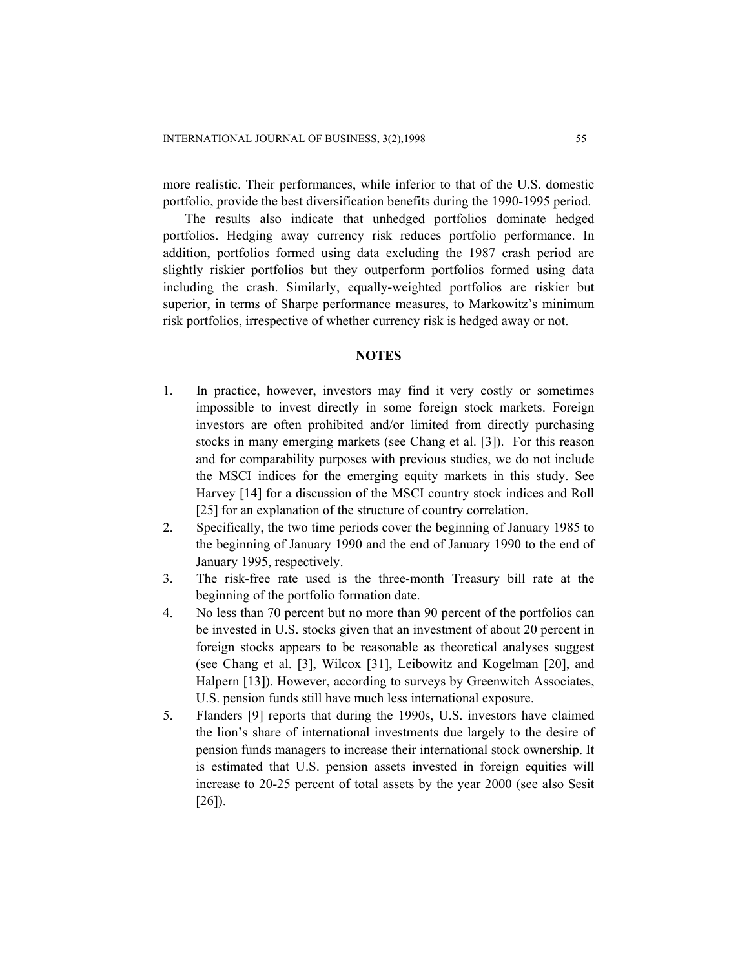more realistic. Their performances, while inferior to that of the U.S. domestic portfolio, provide the best diversification benefits during the 1990-1995 period.

The results also indicate that unhedged portfolios dominate hedged portfolios. Hedging away currency risk reduces portfolio performance. In addition, portfolios formed using data excluding the 1987 crash period are slightly riskier portfolios but they outperform portfolios formed using data including the crash. Similarly, equally-weighted portfolios are riskier but superior, in terms of Sharpe performance measures, to Markowitz's minimum risk portfolios, irrespective of whether currency risk is hedged away or not.

#### **NOTES**

- 1. In practice, however, investors may find it very costly or sometimes impossible to invest directly in some foreign stock markets. Foreign investors are often prohibited and/or limited from directly purchasing stocks in many emerging markets (see Chang et al. [3]). For this reason and for comparability purposes with previous studies, we do not include the MSCI indices for the emerging equity markets in this study. See Harvey [14] for a discussion of the MSCI country stock indices and Roll [25] for an explanation of the structure of country correlation.
- 2. Specifically, the two time periods cover the beginning of January 1985 to the beginning of January 1990 and the end of January 1990 to the end of January 1995, respectively.
- 3. The risk-free rate used is the three-month Treasury bill rate at the beginning of the portfolio formation date.
- 4. No less than 70 percent but no more than 90 percent of the portfolios can be invested in U.S. stocks given that an investment of about 20 percent in foreign stocks appears to be reasonable as theoretical analyses suggest (see Chang et al. [3], Wilcox [31], Leibowitz and Kogelman [20], and Halpern [13]). However, according to surveys by Greenwitch Associates, U.S. pension funds still have much less international exposure.
- 5. Flanders [9] reports that during the 1990s, U.S. investors have claimed the lion's share of international investments due largely to the desire of pension funds managers to increase their international stock ownership. It is estimated that U.S. pension assets invested in foreign equities will increase to 20-25 percent of total assets by the year 2000 (see also Sesit [26]).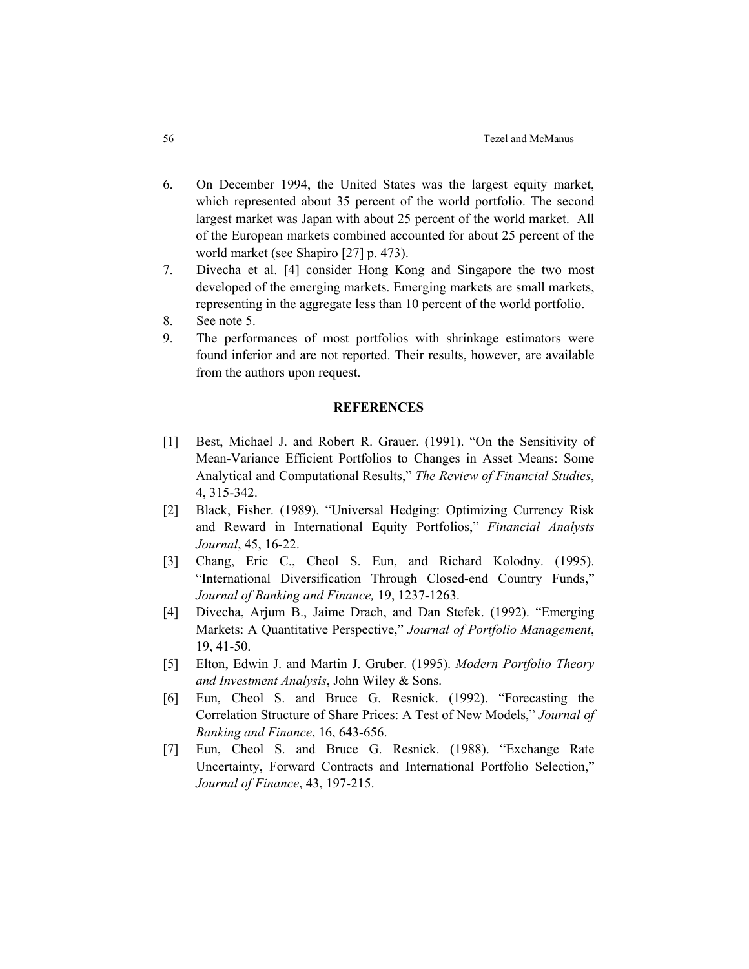- 6. On December 1994, the United States was the largest equity market, which represented about 35 percent of the world portfolio. The second largest market was Japan with about 25 percent of the world market. All of the European markets combined accounted for about 25 percent of the world market (see Shapiro [27] p. 473).
- 7. Divecha et al. [4] consider Hong Kong and Singapore the two most developed of the emerging markets. Emerging markets are small markets, representing in the aggregate less than 10 percent of the world portfolio.
- 8. See note 5.
- 9. The performances of most portfolios with shrinkage estimators were found inferior and are not reported. Their results, however, are available from the authors upon request.

#### **REFERENCES**

- [1] Best, Michael J. and Robert R. Grauer. (1991). "On the Sensitivity of Mean-Variance Efficient Portfolios to Changes in Asset Means: Some Analytical and Computational Results," *The Review of Financial Studies*, 4, 315-342.
- [2] Black, Fisher. (1989). "Universal Hedging: Optimizing Currency Risk and Reward in International Equity Portfolios," *Financial Analysts Journal*, 45, 16-22.
- [3] Chang, Eric C., Cheol S. Eun, and Richard Kolodny. (1995). "International Diversification Through Closed-end Country Funds," *Journal of Banking and Finance,* 19, 1237-1263.
- [4] Divecha, Arjum B., Jaime Drach, and Dan Stefek. (1992). "Emerging Markets: A Quantitative Perspective," *Journal of Portfolio Management*, 19, 41-50.
- [5] Elton, Edwin J. and Martin J. Gruber. (1995). *Modern Portfolio Theory and Investment Analysis*, John Wiley & Sons.
- [6] Eun, Cheol S. and Bruce G. Resnick. (1992). "Forecasting the Correlation Structure of Share Prices: A Test of New Models," *Journal of Banking and Finance*, 16, 643-656.
- [7] Eun, Cheol S. and Bruce G. Resnick. (1988). "Exchange Rate Uncertainty, Forward Contracts and International Portfolio Selection," *Journal of Finance*, 43, 197-215.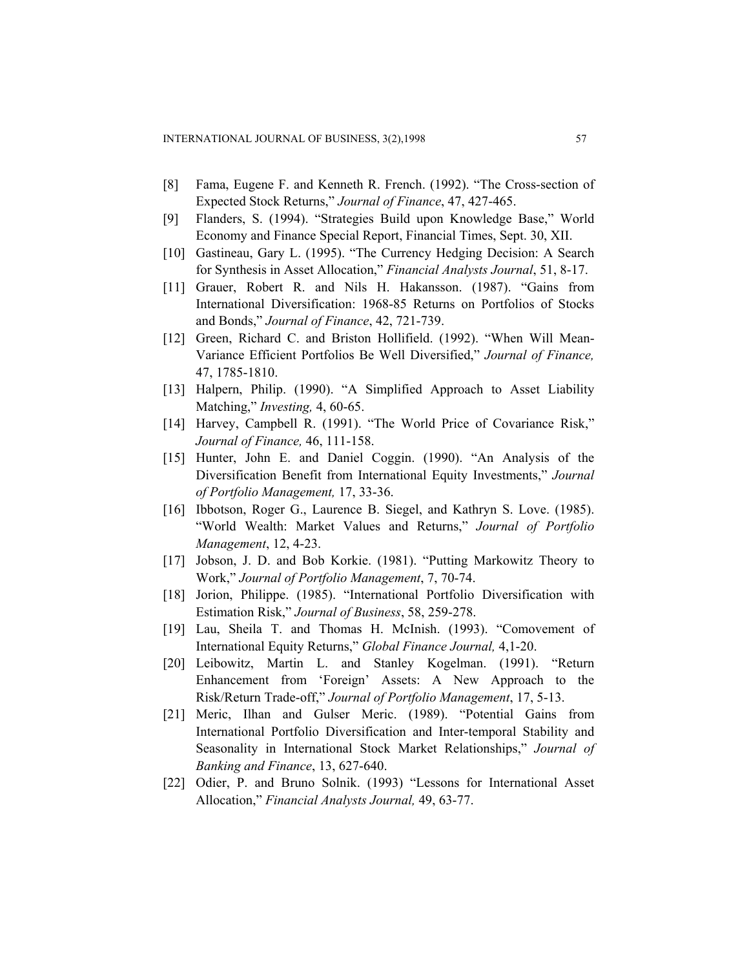- [8] Fama, Eugene F. and Kenneth R. French. (1992). "The Cross-section of Expected Stock Returns," *Journal of Finance*, 47, 427-465.
- [9] Flanders, S. (1994). "Strategies Build upon Knowledge Base," World Economy and Finance Special Report, Financial Times, Sept. 30, XII.
- [10] Gastineau, Gary L. (1995). "The Currency Hedging Decision: A Search for Synthesis in Asset Allocation," *Financial Analysts Journal*, 51, 8-17.
- [11] Grauer, Robert R. and Nils H. Hakansson. (1987). "Gains from International Diversification: 1968-85 Returns on Portfolios of Stocks and Bonds," *Journal of Finance*, 42, 721-739.
- [12] Green, Richard C. and Briston Hollifield. (1992). "When Will Mean-Variance Efficient Portfolios Be Well Diversified," *Journal of Finance,*  47, 1785-1810.
- [13] Halpern, Philip. (1990). "A Simplified Approach to Asset Liability Matching," *Investing,* 4, 60-65.
- [14] Harvey, Campbell R. (1991). "The World Price of Covariance Risk," *Journal of Finance,* 46, 111-158.
- [15] Hunter, John E. and Daniel Coggin. (1990). "An Analysis of the Diversification Benefit from International Equity Investments," *Journal of Portfolio Management,* 17, 33-36.
- [16] Ibbotson, Roger G., Laurence B. Siegel, and Kathryn S. Love. (1985). "World Wealth: Market Values and Returns," *Journal of Portfolio Management*, 12, 4-23.
- [17] Jobson, J. D. and Bob Korkie. (1981). "Putting Markowitz Theory to Work," *Journal of Portfolio Management*, 7, 70-74.
- [18] Jorion, Philippe. (1985). "International Portfolio Diversification with Estimation Risk," *Journal of Business*, 58, 259-278.
- [19] Lau, Sheila T. and Thomas H. McInish. (1993). "Comovement of International Equity Returns," *Global Finance Journal,* 4,1-20.
- [20] Leibowitz, Martin L. and Stanley Kogelman. (1991). "Return Enhancement from 'Foreign' Assets: A New Approach to the Risk/Return Trade-off," *Journal of Portfolio Management*, 17, 5-13.
- [21] Meric, Ilhan and Gulser Meric. (1989). "Potential Gains from International Portfolio Diversification and Inter-temporal Stability and Seasonality in International Stock Market Relationships," *Journal of Banking and Finance*, 13, 627-640.
- [22] Odier, P. and Bruno Solnik. (1993) "Lessons for International Asset Allocation," *Financial Analysts Journal,* 49, 63-77.